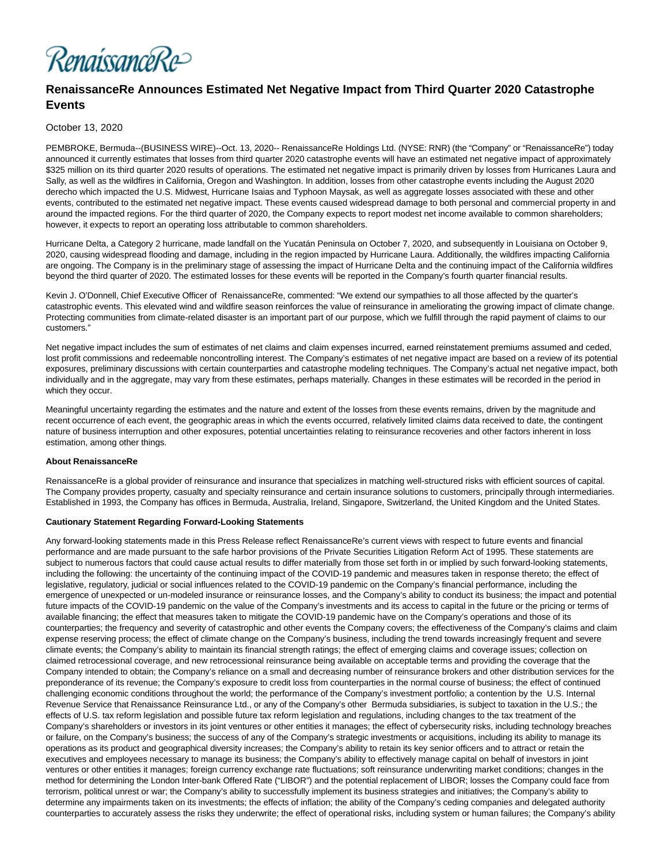

# **RenaissanceRe Announces Estimated Net Negative Impact from Third Quarter 2020 Catastrophe Events**

## October 13, 2020

PEMBROKE, Bermuda--(BUSINESS WIRE)--Oct. 13, 2020-- RenaissanceRe Holdings Ltd. (NYSE: RNR) (the "Company" or "RenaissanceRe") today announced it currently estimates that losses from third quarter 2020 catastrophe events will have an estimated net negative impact of approximately \$325 million on its third quarter 2020 results of operations. The estimated net negative impact is primarily driven by losses from Hurricanes Laura and Sally, as well as the wildfires in California, Oregon and Washington. In addition, losses from other catastrophe events including the August 2020 derecho which impacted the U.S. Midwest, Hurricane Isaias and Typhoon Maysak, as well as aggregate losses associated with these and other events, contributed to the estimated net negative impact. These events caused widespread damage to both personal and commercial property in and around the impacted regions. For the third quarter of 2020, the Company expects to report modest net income available to common shareholders; however, it expects to report an operating loss attributable to common shareholders.

Hurricane Delta, a Category 2 hurricane, made landfall on the Yucatán Peninsula on October 7, 2020, and subsequently in Louisiana on October 9, 2020, causing widespread flooding and damage, including in the region impacted by Hurricane Laura. Additionally, the wildfires impacting California are ongoing. The Company is in the preliminary stage of assessing the impact of Hurricane Delta and the continuing impact of the California wildfires beyond the third quarter of 2020. The estimated losses for these events will be reported in the Company's fourth quarter financial results.

Kevin J. O'Donnell, Chief Executive Officer of RenaissanceRe, commented: "We extend our sympathies to all those affected by the quarter's catastrophic events. This elevated wind and wildfire season reinforces the value of reinsurance in ameliorating the growing impact of climate change. Protecting communities from climate-related disaster is an important part of our purpose, which we fulfill through the rapid payment of claims to our customers."

Net negative impact includes the sum of estimates of net claims and claim expenses incurred, earned reinstatement premiums assumed and ceded, lost profit commissions and redeemable noncontrolling interest. The Company's estimates of net negative impact are based on a review of its potential exposures, preliminary discussions with certain counterparties and catastrophe modeling techniques. The Company's actual net negative impact, both individually and in the aggregate, may vary from these estimates, perhaps materially. Changes in these estimates will be recorded in the period in which they occur.

Meaningful uncertainty regarding the estimates and the nature and extent of the losses from these events remains, driven by the magnitude and recent occurrence of each event, the geographic areas in which the events occurred, relatively limited claims data received to date, the contingent nature of business interruption and other exposures, potential uncertainties relating to reinsurance recoveries and other factors inherent in loss estimation, among other things.

### **About RenaissanceRe**

RenaissanceRe is a global provider of reinsurance and insurance that specializes in matching well-structured risks with efficient sources of capital. The Company provides property, casualty and specialty reinsurance and certain insurance solutions to customers, principally through intermediaries. Established in 1993, the Company has offices in Bermuda, Australia, Ireland, Singapore, Switzerland, the United Kingdom and the United States.

### **Cautionary Statement Regarding Forward-Looking Statements**

Any forward-looking statements made in this Press Release reflect RenaissanceRe's current views with respect to future events and financial performance and are made pursuant to the safe harbor provisions of the Private Securities Litigation Reform Act of 1995. These statements are subject to numerous factors that could cause actual results to differ materially from those set forth in or implied by such forward-looking statements, including the following: the uncertainty of the continuing impact of the COVID-19 pandemic and measures taken in response thereto; the effect of legislative, regulatory, judicial or social influences related to the COVID-19 pandemic on the Company's financial performance, including the emergence of unexpected or un-modeled insurance or reinsurance losses, and the Company's ability to conduct its business; the impact and potential future impacts of the COVID-19 pandemic on the value of the Company's investments and its access to capital in the future or the pricing or terms of available financing; the effect that measures taken to mitigate the COVID-19 pandemic have on the Company's operations and those of its counterparties; the frequency and severity of catastrophic and other events the Company covers; the effectiveness of the Company's claims and claim expense reserving process; the effect of climate change on the Company's business, including the trend towards increasingly frequent and severe climate events; the Company's ability to maintain its financial strength ratings; the effect of emerging claims and coverage issues; collection on claimed retrocessional coverage, and new retrocessional reinsurance being available on acceptable terms and providing the coverage that the Company intended to obtain; the Company's reliance on a small and decreasing number of reinsurance brokers and other distribution services for the preponderance of its revenue; the Company's exposure to credit loss from counterparties in the normal course of business; the effect of continued challenging economic conditions throughout the world; the performance of the Company's investment portfolio; a contention by the U.S. Internal Revenue Service that Renaissance Reinsurance Ltd., or any of the Company's other Bermuda subsidiaries, is subject to taxation in the U.S.; the effects of U.S. tax reform legislation and possible future tax reform legislation and regulations, including changes to the tax treatment of the Company's shareholders or investors in its joint ventures or other entities it manages; the effect of cybersecurity risks, including technology breaches or failure, on the Company's business; the success of any of the Company's strategic investments or acquisitions, including its ability to manage its operations as its product and geographical diversity increases; the Company's ability to retain its key senior officers and to attract or retain the executives and employees necessary to manage its business; the Company's ability to effectively manage capital on behalf of investors in joint ventures or other entities it manages; foreign currency exchange rate fluctuations; soft reinsurance underwriting market conditions; changes in the method for determining the London Inter-bank Offered Rate ("LIBOR") and the potential replacement of LIBOR; losses the Company could face from terrorism, political unrest or war; the Company's ability to successfully implement its business strategies and initiatives; the Company's ability to determine any impairments taken on its investments; the effects of inflation; the ability of the Company's ceding companies and delegated authority counterparties to accurately assess the risks they underwrite; the effect of operational risks, including system or human failures; the Company's ability